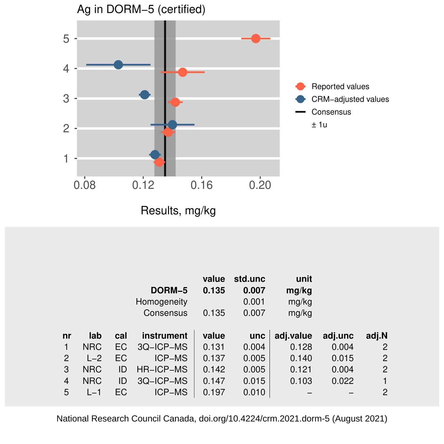

Results, mg/kg

|    |            |     |                  | value | std.unc | unit      |         |                |
|----|------------|-----|------------------|-------|---------|-----------|---------|----------------|
|    |            |     | DORM-5           | 0.135 | 0.007   | mg/kg     |         |                |
|    |            |     | Homogeneity      |       | 0.001   | mg/kg     |         |                |
|    |            |     | Consensus        | 0.135 | 0.007   | mg/kg     |         |                |
|    |            |     |                  |       |         |           |         |                |
| nr | lab        | cal | instrument       | value | unc     | adj.value | adj.unc | adj.N          |
| 1  | <b>NRC</b> | EC  | 3Q-ICP-MS        | 0.131 | 0.004   | 0.128     | 0.004   | 2              |
| 2  | $L-2$      | EC  | ICP-MS           | 0.137 | 0.005   | 0.140     | 0.015   | $\overline{2}$ |
| 3  | <b>NRC</b> | ID  | <b>HR-ICP-MS</b> | 0.142 | 0.005   | 0.121     | 0.004   | $\overline{2}$ |
| 4  | <b>NRC</b> | ID  | 3Q-ICP-MS        | 0.147 | 0.015   | 0.103     | 0.022   | 1              |
| 5  | $L-1$      | ЕC  | <b>ICP-MS</b>    | 0.197 | 0.010   |           |         | $\overline{2}$ |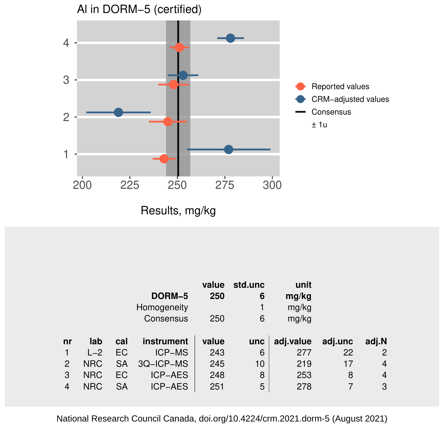

|                |            |     |                | value | std.unc | unit      |         |                |
|----------------|------------|-----|----------------|-------|---------|-----------|---------|----------------|
|                |            |     | DORM-5         | 250   | 6       | mg/kg     |         |                |
|                |            |     | Homogeneity    |       |         | mg/kg     |         |                |
|                |            |     | Consensus      | 250   | 6       | mg/kg     |         |                |
|                |            |     |                |       |         |           |         |                |
|                |            |     |                |       |         |           |         |                |
| nr             | lab        | cal | instrument     | value | unc     | adj.value | adj.unc | adj.N          |
|                | $L-2$      | EC  | <b>ICP-MS</b>  | 243   | 6       | 277       | 22      | $\overline{2}$ |
| $\overline{2}$ | <b>NRC</b> | SA  | 3Q-ICP-MS      | 245   | 10      | 219       | 17      | 4              |
| 3              | <b>NRC</b> | EC  | <b>ICP-AES</b> | 248   | 8       | 253       | 8       | 4              |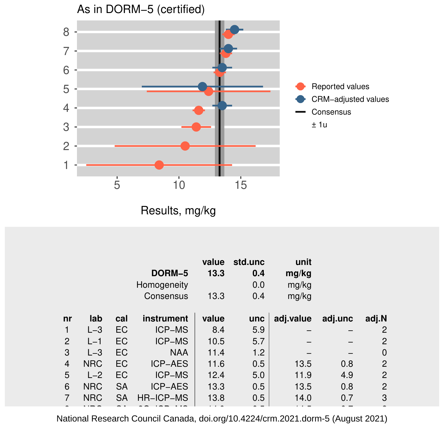

|                |            |           | DORM-5<br>Homogeneity<br>Consensus | value<br>13.3<br>13.3 | std.unc<br>0.4<br>0.0<br>0.4 | unit<br>mg/kg<br>mg/kg<br>mg/kg |         |                |
|----------------|------------|-----------|------------------------------------|-----------------------|------------------------------|---------------------------------|---------|----------------|
| nr             | lab        | cal       | instrument                         | value                 | unc                          | adj.value                       | adj.unc | adj.N          |
| 1              | $L-3$      | <b>EC</b> | ICP-MS                             | 8.4                   | 5.9                          |                                 |         | $\overline{2}$ |
| 2              | $L-1$      | EC        | <b>ICP-MS</b>                      | 10.5                  | 5.7                          |                                 |         | 2              |
| 3              | $L-3$      | <b>EC</b> | <b>NAA</b>                         | 11.4                  | 1.2                          |                                 |         | $\Omega$       |
| $\overline{4}$ | <b>NRC</b> | EC        | <b>ICP-AES</b>                     | 11.6                  | 0.5                          | 13.5                            | 0.8     | 2              |
| 5              | $L-2$      | <b>EC</b> | <b>ICP-MS</b>                      | 12.4                  | 5.0                          | 11.9                            | 4.9     | $\overline{2}$ |
| 6              | <b>NRC</b> | <b>SA</b> | <b>ICP-AES</b>                     | 13.3                  | 0.5                          | 13.5                            | 0.8     | 2              |
| 7              | <b>NRC</b> | <b>SA</b> | HR-ICP-MS                          | 13.8                  | 0.5                          | 14.0                            | 0.7     | 3              |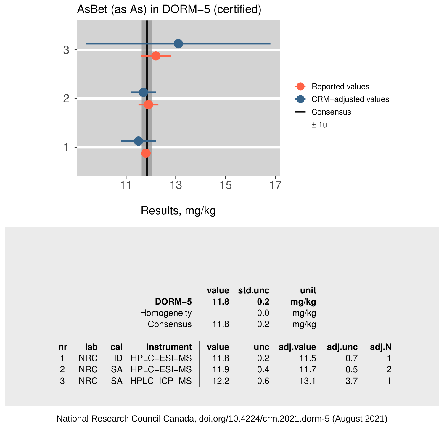

|    |            |     |             | value | std.unc    | unit      |         |                       |
|----|------------|-----|-------------|-------|------------|-----------|---------|-----------------------|
|    |            |     | DORM-5      | 11.8  | 0.2        | mg/kg     |         |                       |
|    |            |     | Homogeneity |       | 0.0        | mg/kg     |         |                       |
|    |            |     | Consensus   | 11.8  | 0.2        | mg/kg     |         |                       |
|    |            |     |             |       |            |           |         |                       |
|    |            |     |             |       |            |           |         |                       |
| nr | lab        | cal | instrument  | value | <b>unc</b> | adj.value | adj.unc | adj.N                 |
|    | <b>NRC</b> | ID  | HPLC-ESI-MS | 11.8  | 0.2        | 11.5      | 0.7     |                       |
| 2  | <b>NRC</b> | SA. | HPLC-ESI-MS | 11.9  | 0.4        | 11.7      | 0.5     | $\mathbf{2}^{\prime}$ |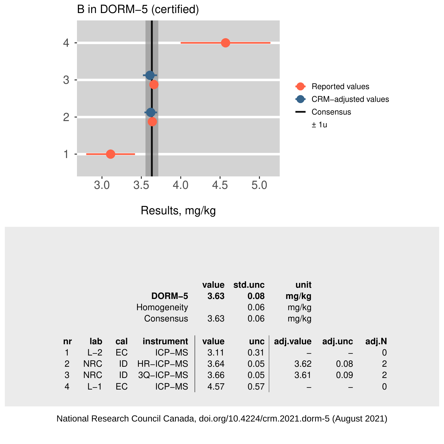

Results, mg/kg

|                |            |     | DORM-5<br>Homogeneity<br>Consensus | value<br>3.63<br>3.63 | std.unc<br>0.08<br>0.06<br>0.06 | unit<br>mg/kg<br>mg/kg<br>mg/kg |         |       |
|----------------|------------|-----|------------------------------------|-----------------------|---------------------------------|---------------------------------|---------|-------|
|                |            |     |                                    |                       |                                 |                                 |         |       |
| nr             | lab        | cal | instrument                         | value                 | unc                             | adj.value                       | adj.unc | adj.N |
|                | $L-2$      | EC  | <b>ICP-MS</b>                      | 3.11                  | 0.31                            |                                 |         | 0     |
| $\overline{2}$ | <b>NRC</b> | ID  | HR-ICP-MS                          | 3.64                  | 0.05                            | 3.62                            | 0.08    | 2     |
| 3              | <b>NRC</b> | ID  | 3Q-ICP-MS                          | 3.66                  | 0.05                            | 3.61                            | 0.09    | 2     |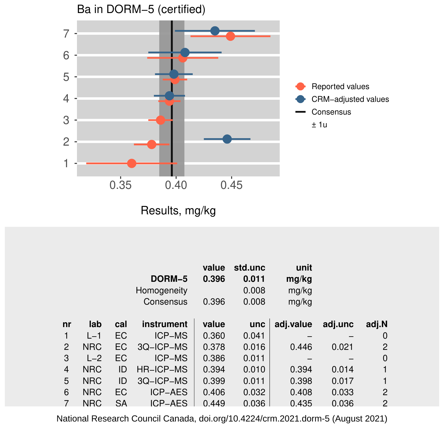

|    |            |     | DORM-5<br>Homogeneity<br>Consensus | value<br>0.396<br>0.396 | std.unc<br>0.011<br>0.008<br>0.008 | unit<br>mg/kg<br>mg/kg<br>mg/kg |         |                |
|----|------------|-----|------------------------------------|-------------------------|------------------------------------|---------------------------------|---------|----------------|
| nr | lab        | cal | instrument                         | value                   | unc                                | adj.value                       | adj.unc | adj.N          |
| 1  | $L-1$      | EC  | <b>ICP-MS</b>                      | 0.360                   | 0.041                              |                                 |         | 0              |
| 2  | <b>NRC</b> | EC  | 3Q-ICP-MS                          | 0.378                   | 0.016                              | 0.446                           | 0.021   | 2              |
| 3  | $L-2$      | EC  | <b>ICP-MS</b>                      | 0.386                   | 0.011                              |                                 |         | $\mathbf 0$    |
| 4  | <b>NRC</b> | ID  | HR-ICP-MS                          | 0.394                   | 0.010                              | 0.394                           | 0.014   | 1              |
| 5  | <b>NRC</b> | ID  | 3Q-ICP-MS                          | 0.399                   | 0.011                              | 0.398                           | 0.017   | 1              |
| 6  | <b>NRC</b> | EC  | <b>ICP-AES</b>                     | 0.406                   | 0.032                              | 0.408                           | 0.033   | $\overline{2}$ |
|    | <b>NRC</b> | SA  | ICP-AES                            | 0.449                   | 0.036                              | 0.435                           | 0.036   | $\overline{2}$ |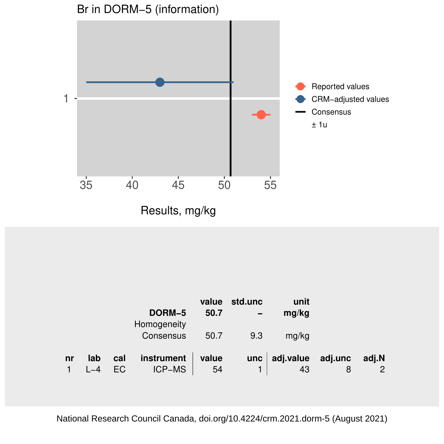

|            |   | unit<br>mg/kg           | std.unc<br>$\overline{\phantom{0}}$ | value<br>50.7 | DORM-5<br>Homogeneity |           |     |    |
|------------|---|-------------------------|-------------------------------------|---------------|-----------------------|-----------|-----|----|
|            |   | mg/kg                   | 9.3                                 | 50.7          | Consensus             |           |     |    |
| adj.N<br>2 | 8 | adj.value adj.unc<br>43 | unc                                 | value<br>54   | instrument<br>ICP-MS  | cal<br>EC | lab | nr |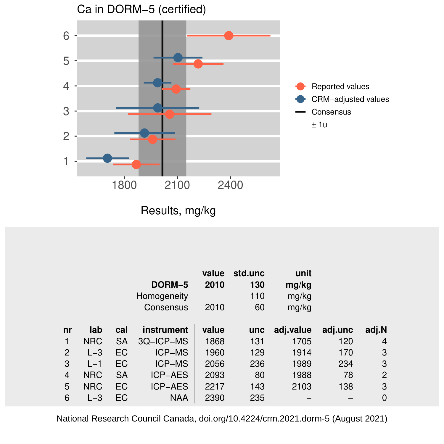

|    |            |     | DORM-5<br>Homogeneity<br>Consensus | value<br>2010<br>2010 | std.unc<br>130<br>110<br>60 | unit<br>mg/kg<br>mg/kg<br>mg/kg |         |       |
|----|------------|-----|------------------------------------|-----------------------|-----------------------------|---------------------------------|---------|-------|
| nr | lab        | cal | instrument                         | value                 | unc                         | adj.value                       | adj.unc | adj.N |
| 1  | <b>NRC</b> | SA  | 3Q-ICP-MS                          | 1868                  | 131                         | 1705                            | 120     | 4     |
| 2  | $L - 3$    | EC  | <b>ICP-MS</b>                      | 1960                  | 129                         | 1914                            | 170     | 3     |
| 3  | $L-1$      | EC  | <b>ICP-MS</b>                      | 2056                  | 236                         | 1989                            | 234     | 3     |
| 4  | <b>NRC</b> | SA  | <b>ICP-AES</b>                     | 2093                  | 80                          | 1988                            | 78      | 2     |
| 5  | <b>NRC</b> | EC  | <b>ICP-AES</b>                     | 2217                  | 143                         | 2103                            | 138     | 3     |
| 6  | $L-3$      | EC  | <b>NAA</b>                         | 2390                  | 235                         |                                 |         | 0     |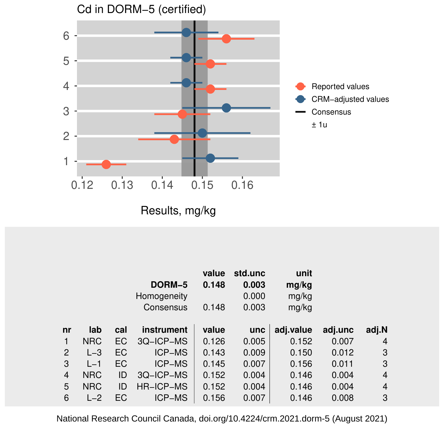

|                |            |     | DORM-5<br>Homogeneity<br>Consensus | value<br>0.148<br>0.148 | std.unc<br>0.003<br>0.000<br>0.003 | unit<br>mg/kg<br>mg/kg<br>mg/kg |         |       |
|----------------|------------|-----|------------------------------------|-------------------------|------------------------------------|---------------------------------|---------|-------|
| nr             | lab        | cal | instrument                         | value                   | unc                                | adj.value                       | adj.unc | adj.N |
| 1              | <b>NRC</b> | EC  | 3Q-ICP-MS                          | 0.126                   | 0.005                              | 0.152                           | 0.007   | 4     |
| 2              | $L - 3$    | EC  | <b>ICP-MS</b>                      | 0.143                   | 0.009                              | 0.150                           | 0.012   | 3     |
| 3              | $L-1$      | EC  | <b>ICP-MS</b>                      | 0.145                   | 0.007                              | 0.156                           | 0.011   | 3     |
| $\overline{4}$ | <b>NRC</b> | ID  | 3Q-ICP-MS                          | 0.152                   | 0.004                              | 0.146                           | 0.004   | 4     |
| 5              | <b>NRC</b> | ID  | HR-ICP-MS                          | 0.152                   | 0.004                              | 0.146                           | 0.004   | 4     |
| 6              | $L-2$      | ЕC  | <b>ICP-MS</b>                      | 0.156                   | 0.007                              | 0.146                           | 0.008   | 3     |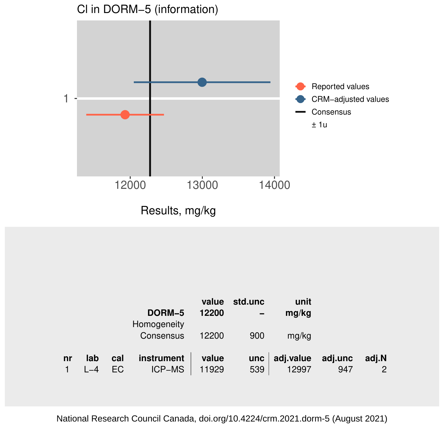

|    |     |            | DORM-5<br>Homogeneity       | value<br>12200 | std.unc    | unit<br>mg/kg      |                |            |
|----|-----|------------|-----------------------------|----------------|------------|--------------------|----------------|------------|
|    |     |            | Consensus                   | 12200          | 900        | mg/kg              |                |            |
| nr | lab | cal<br>EC. | instrument<br><b>ICP-MS</b> | value<br>11929 | unc<br>539 | adj.value<br>12997 | adj.unc<br>947 | adj.N<br>2 |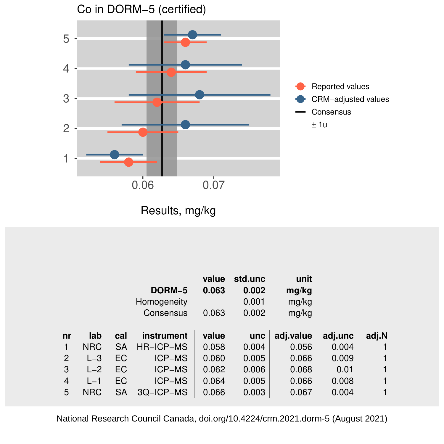

Results, mg/kg

|    |            |     |               | value | std.unc | unit      |         |       |
|----|------------|-----|---------------|-------|---------|-----------|---------|-------|
|    |            |     | DORM-5        | 0.063 | 0.002   | mg/kg     |         |       |
|    |            |     | Homogeneity   |       | 0.001   | mg/kg     |         |       |
|    |            |     | Consensus     | 0.063 | 0.002   | mg/kg     |         |       |
|    |            |     |               |       |         |           |         |       |
| nr | lab        | cal | instrument    | value | unc     | adj.value | adj.unc | adj.N |
| 1  | <b>NRC</b> | SА  | HR-ICP-MS     | 0.058 | 0.004   | 0.056     | 0.004   |       |
| 2  | $L - 3$    | EC  | ICP-MS        | 0.060 | 0.005   | 0.066     | 0.009   | 1     |
| 3  | $L-2$      | ЕC  | <b>ICP-MS</b> | 0.062 | 0.006   | 0.068     | 0.01    | 1     |
| 4  | $L-1$      | EC  | ICP-MS        | 0.064 | 0.005   | 0.066     | 0.008   | 1     |
| 5  | <b>NRC</b> | SА  | 3Q-ICP-MS     | 0.066 | 0.003   | 0.067     | 0.004   | 1     |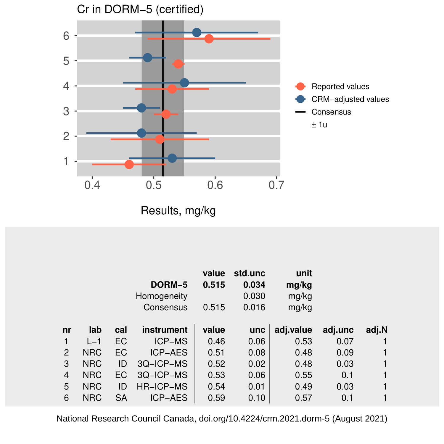

|    |            |           | DORM-5<br>Homogeneity<br>Consensus | value<br>0.515<br>0.515 | std.unc<br>0.034<br>0.030<br>0.016 | unit<br>mg/kg<br>mg/kg<br>mg/kg |         |       |
|----|------------|-----------|------------------------------------|-------------------------|------------------------------------|---------------------------------|---------|-------|
| nr | lab        | cal       | instrument                         | value                   | unc                                | adj.value                       | adj.unc | adj.N |
|    | $L-1$      | EC        | <b>ICP-MS</b>                      | 0.46                    | 0.06                               | 0.53                            | 0.07    |       |
| 2  | <b>NRC</b> | EC        | <b>ICP-AES</b>                     | 0.51                    | 0.08                               | 0.48                            | 0.09    | 1     |
| 3  | <b>NRC</b> | ID        | 3Q-ICP-MS                          | 0.52                    | 0.02                               | 0.48                            | 0.03    | 1     |
| 4  | <b>NRC</b> | EC        | 3Q-ICP-MS                          | 0.53                    | 0.06                               | 0.55                            | 0.1     | 1     |
| 5  | <b>NRC</b> | ID        | <b>HR-ICP-MS</b>                   | 0.54                    | 0.01                               | 0.49                            | 0.03    | 1     |
| 6  | <b>NRC</b> | <b>SA</b> | <b>ICP-AES</b>                     | 0.59                    | 0.10                               | 0.57                            | 0.1     | 1     |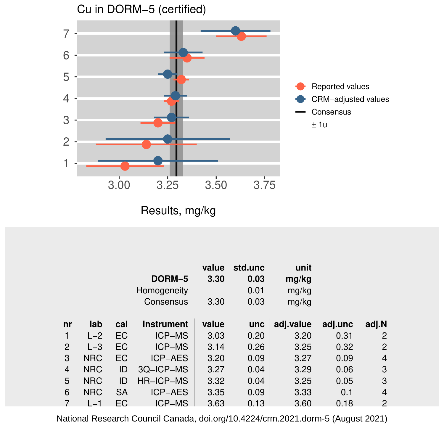

|                |            |           | DORM-5<br>Homogeneity<br>Consensus | value<br>3.30<br>3.30 | std.unc<br>0.03<br>0.01<br>0.03 | unit<br>mg/kg<br>mg/kg<br>mg/kg |         |                |
|----------------|------------|-----------|------------------------------------|-----------------------|---------------------------------|---------------------------------|---------|----------------|
| nr             | lab        | cal       | instrument                         | value                 | unc                             | adj.value                       | adj.unc | adj.N          |
|                | $L-2$      | EC        | <b>ICP-MS</b>                      | 3.03                  | 0.20                            | 3.20                            | 0.31    | 2              |
| 2              | $L-3$      | EC        | ICP-MS                             | 3.14                  | 0.26                            | 3.25                            | 0.32    | 2              |
| 3              | <b>NRC</b> | EC        | <b>ICP-AES</b>                     | 3.20                  | 0.09                            | 3.27                            | 0.09    | 4              |
| $\overline{4}$ | <b>NRC</b> | ID        | 3Q-ICP-MS                          | 3.27                  | 0.04                            | 3.29                            | 0.06    | 3              |
| 5              | <b>NRC</b> | ID        | <b>HR-ICP-MS</b>                   | 3.32                  | 0.04                            | 3.25                            | 0.05    | 3              |
| 6              | <b>NRC</b> | <b>SA</b> | <b>ICP-AES</b>                     | 3.35                  | 0.09                            | 3.33                            | 0.1     | 4              |
|                | $L - 1$    | EC.       | ICP-MS                             | 3.63                  | 0.13                            | 3.60                            | 0.18    | $\overline{2}$ |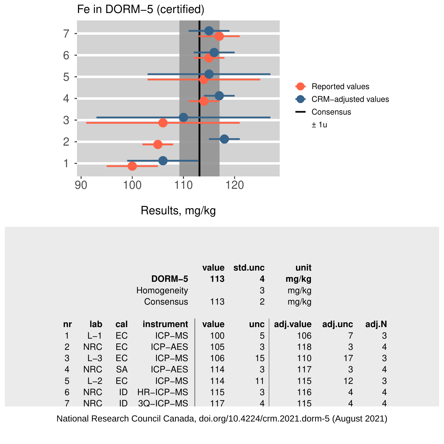

Results, mg/kg

|    |            |           | DORM-5<br>Homogeneity<br>Consensus | value<br>113<br>113 | std.unc<br>4<br>3<br>2 | unit<br>mg/kg<br>mg/kg<br>mg/kg |         |       |
|----|------------|-----------|------------------------------------|---------------------|------------------------|---------------------------------|---------|-------|
| nr | lab        | cal       | instrument                         | value               | unc                    | adj.value                       | adj.unc | adj.N |
|    | $L-1$      | EC        | <b>ICP-MS</b>                      | 100                 | 5                      | 106                             |         | 3     |
| 2  | <b>NRC</b> | EC        | <b>ICP-AES</b>                     | 105                 | 3                      | 118                             | 3       | 4     |
| 3  | $L-3$      | EC        | ICP-MS                             | 106                 | 15                     | 110                             | 17      | 3     |
| 4  | <b>NRC</b> | <b>SA</b> | <b>ICP-AES</b>                     | 114                 | 3                      | 117                             | 3       | 4     |
| 5  | $L-2$      | EC        | <b>ICP-MS</b>                      | 114                 | 11                     | 115                             | 12      | 3     |
| 6  | <b>NRC</b> | ID        | HR-ICP-MS                          | 115                 | 3                      | 116                             | 4       | 4     |
|    | <b>NRC</b> | ID        | 30-ICP-MS                          | 117                 | 4                      | 115                             | 4       | 4     |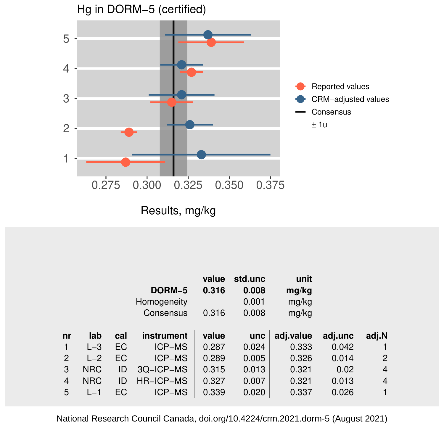

|    |            |     |               | value | std.unc | unit      |         |                |
|----|------------|-----|---------------|-------|---------|-----------|---------|----------------|
|    |            |     | DORM-5        | 0.316 | 0.008   | mg/kg     |         |                |
|    |            |     | Homogeneity   |       | 0.001   | mg/kg     |         |                |
|    |            |     | Consensus     | 0.316 | 0.008   | mg/kg     |         |                |
|    |            |     |               |       |         |           |         |                |
| nr | lab        | cal | instrument    | value | unc     | adj.value | adj.unc | adj.N          |
|    | $L - 3$    | EC  | <b>ICP-MS</b> | 0.287 | 0.024   | 0.333     | 0.042   |                |
| 2  | $L-2$      | ЕC  | <b>ICP-MS</b> | 0.289 | 0.005   | 0.326     | 0.014   | $\overline{2}$ |
| 3  | <b>NRC</b> | ID  | 3Q-ICP-MS     | 0.315 | 0.013   | 0.321     | 0.02    | $\overline{4}$ |
| 4  | <b>NRC</b> | ID  | HR-ICP-MS     | 0.327 | 0.007   | 0.321     | 0.013   | 4              |
| 5  | $L-1$      | ЕC  | <b>ICP-MS</b> | 0.339 | 0.020   | 0.337     | 0.026   | 1              |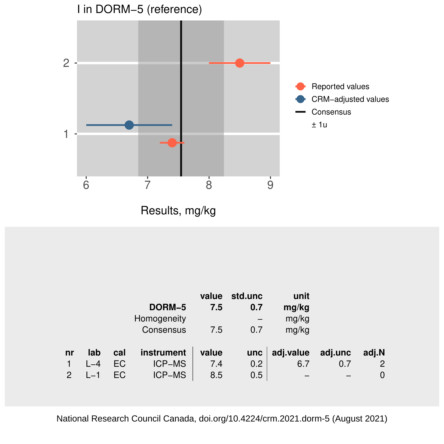

| adj.N       |
|-------------|
| 2           |
| $\mathbf 0$ |
|             |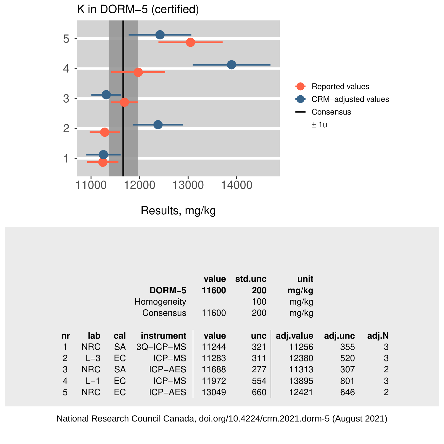

|                |            |           | DORM-5<br>Homogeneity | value<br>11600 | std.unc<br>200<br>100 | unit<br>mg/kg<br>mg/kg |         |                |
|----------------|------------|-----------|-----------------------|----------------|-----------------------|------------------------|---------|----------------|
|                |            |           | Consensus             | 11600          | 200                   | mg/kg                  |         |                |
| nr             | lab        | cal       | instrument            | value          | unc                   | adj.value              | adj.unc | adj.N          |
| 1              | <b>NRC</b> | SA        | 3Q-ICP-MS             | 11244          | 321                   | 11256                  | 355     | 3              |
| $\overline{2}$ | $L - 3$    | EC        | ICP-MS                | 11283          | 311                   | 12380                  | 520     | 3              |
| 3              | <b>NRC</b> | <b>SA</b> | <b>ICP-AES</b>        | 11688          | 277                   | 11313                  | 307     | $\overline{2}$ |
| 4              | $L-1$      | EC        | <b>ICP-MS</b>         | 11972          | 554                   | 13895                  | 801     | 3              |
| 5              | <b>NRC</b> | EC        | <b>ICP-AES</b>        | 13049          | 660                   | 12421                  | 646     | $\overline{2}$ |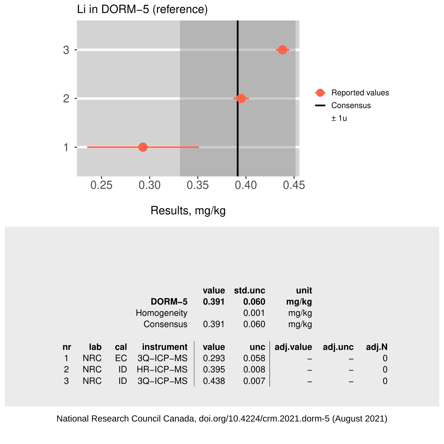

|    |            |     |             | value | std.unc    | unit      |         |             |
|----|------------|-----|-------------|-------|------------|-----------|---------|-------------|
|    |            |     | DORM-5      | 0.391 | 0.060      | mg/kg     |         |             |
|    |            |     | Homogeneity |       | 0.001      | mg/kg     |         |             |
|    |            |     | Consensus   | 0.391 | 0.060      | mg/kg     |         |             |
|    |            |     |             |       |            |           |         |             |
| nr | lab        | cal | instrument  | value | <b>unc</b> | adj.value | adj.unc | adj.N       |
|    | <b>NRC</b> | EC. | 3Q-ICP-MS   | 0.293 | 0.058      |           |         | 0           |
| 2  | <b>NRC</b> | ID  | HR-ICP-MS   | 0.395 | 0.008      |           |         | $\mathbf 0$ |
| 3  | <b>NRC</b> | ID  | 3Q-ICP-MS   | 0.438 | 0.007      |           |         | $\Omega$    |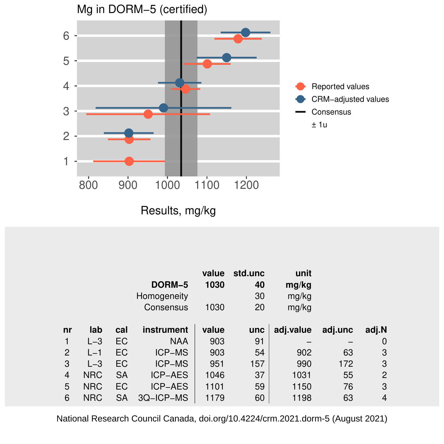

|    |            |     | DORM-5<br>Homogeneity<br>Consensus | value<br>1030<br>1030 | std.unc<br>40<br>30<br>20 | unit<br>mg/kg<br>mg/kg<br>mg/kg |         |       |
|----|------------|-----|------------------------------------|-----------------------|---------------------------|---------------------------------|---------|-------|
| nr | lab        | cal | instrument                         | value                 | unc                       | adj.value                       | adj.unc | adj.N |
| 1  | $L-3$      | EC  | <b>NAA</b>                         | 903                   | 91                        |                                 |         | 0     |
| 2  | $L-1$      | EC  | <b>ICP-MS</b>                      | 903                   | 54                        | 902                             | 63      | 3     |
| 3  | $L - 3$    | EC  | <b>ICP-MS</b>                      | 951                   | 157                       | 990                             | 172     | 3     |
| 4  | <b>NRC</b> | SA  | <b>ICP-AES</b>                     | 1046                  | 37                        | 1031                            | 55      | 2     |
| 5  | <b>NRC</b> | EC  | <b>ICP-AES</b>                     | 1101                  | 59                        | 1150                            | 76      | 3     |
| 6  | <b>NRC</b> | SA  | 3Q-ICP-MS                          | 1179                  | 60                        | 1198                            | 63      | 4     |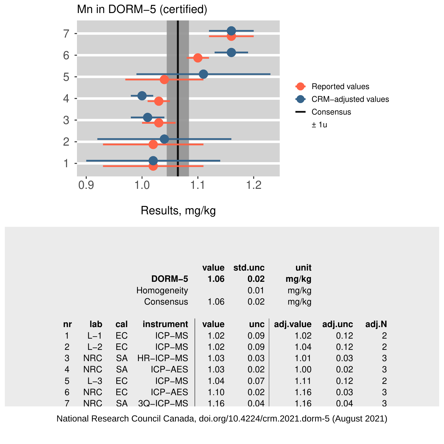

|    |            |           | DORM-5<br>Homogeneity<br>Consensus | value<br>1.06<br>1.06 | std.unc<br>0.02<br>0.01<br>0.02 | unit<br>mg/kg<br>mg/kg<br>mg/kg |         |       |
|----|------------|-----------|------------------------------------|-----------------------|---------------------------------|---------------------------------|---------|-------|
| nr | lab        | cal       | instrument                         | value                 | unc                             | adj.value                       | adj.unc | adj.N |
| 1  | $L-1$      | EC        | ICP-MS                             | 1.02                  | 0.09                            | 1.02                            | 0.12    | 2     |
| 2  | $L-2$      | EC        | <b>ICP-MS</b>                      | 1.02                  | 0.09                            | 1.04                            | 0.12    | 2     |
| 3  | <b>NRC</b> | <b>SA</b> | HR-ICP-MS                          | 1.03                  | 0.03                            | 1.01                            | 0.03    | 3     |
| 4  | <b>NRC</b> | SA        | <b>ICP-AES</b>                     | 1.03                  | 0.02                            | 1.00                            | 0.02    | 3     |
| 5  | $L-3$      | EC        | <b>ICP-MS</b>                      | 1.04                  | 0.07                            | 1.11                            | 0.12    | 2     |
| 6  | <b>NRC</b> | EC        | <b>ICP-AES</b>                     | 1.10                  | 0.02                            | 1.16                            | 0.03    | 3     |
|    | <b>NRC</b> | <b>SA</b> | $3Q$ –ICP–MS                       | 1.16                  | 0.04                            | 1.16                            | 0.04    | 3     |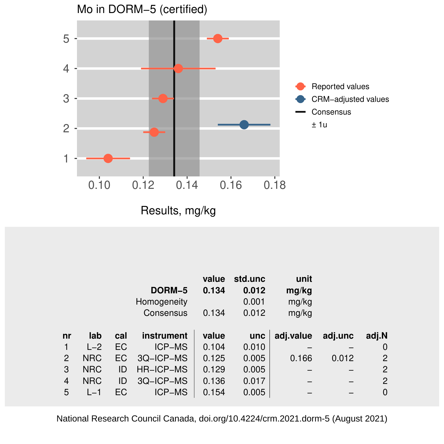

|                |            |     |                  | value | std.unc | unit      |         |                |
|----------------|------------|-----|------------------|-------|---------|-----------|---------|----------------|
|                |            |     | DORM-5           | 0.134 | 0.012   | mg/kg     |         |                |
|                |            |     | Homogeneity      |       | 0.001   | mg/kg     |         |                |
|                |            |     | Consensus        | 0.134 | 0.012   | mg/kg     |         |                |
|                |            |     |                  |       |         |           |         |                |
| n <b>r</b>     | lab        | cal | instrument       | value | unc     | adj.value | adj.unc | adj.N          |
|                | $L-2$      | EC  | ICP-MS           | 0.104 | 0.010   |           |         | 0              |
| $\overline{2}$ | <b>NRC</b> | EС  | 3Q-ICP-MS        | 0.125 | 0.005   | 0.166     | 0.012   | $\overline{2}$ |
| 3              | <b>NRC</b> | ID  | <b>HR-ICP-MS</b> | 0.129 | 0.005   |           |         | $\overline{2}$ |
| 4              | <b>NRC</b> | ID  | 3Q-ICP-MS        | 0.136 | 0.017   |           |         | 2              |
| 5              | $L-1$      | ЕC  | ICP-MS           | 0.154 | 0.005   |           |         | 0              |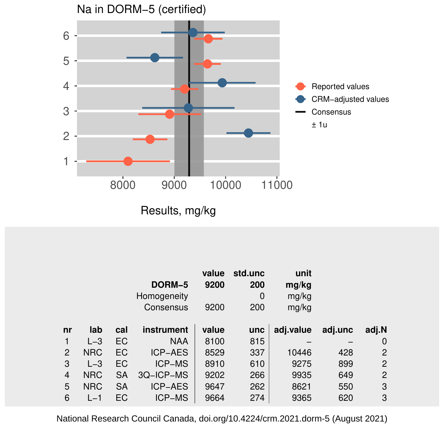

|    |            |           | DORM-5<br>Homogeneity<br>Consensus | value<br>9200<br>9200 | std.unc<br>200<br>0<br>200 | unit<br>mg/kg<br>mg/kg<br>mg/kg |         |                |
|----|------------|-----------|------------------------------------|-----------------------|----------------------------|---------------------------------|---------|----------------|
| nr | lab        | cal       | instrument                         | value                 | unc                        | adj.value                       | adj.unc | adj.N          |
|    | $L - 3$    | EC        | <b>NAA</b>                         | 8100                  | 815                        |                                 |         | 0              |
| 2  | <b>NRC</b> | EC        | <b>ICP-AES</b>                     | 8529                  | 337                        | 10446                           | 428     | 2              |
| 3  | $L - 3$    | EC        | <b>ICP-MS</b>                      | 8910                  | 610                        | 9275                            | 899     | 2              |
| 4  | <b>NRC</b> | <b>SA</b> | 3Q-ICP-MS                          | 9202                  | 266                        | 9935                            | 649     | $\overline{2}$ |
| 5  | <b>NRC</b> | SA        | <b>ICP-AES</b>                     | 9647                  | 262                        | 8621                            | 550     | 3              |
| 6  | $L-1$      | EC        | <b>ICP-MS</b>                      | 9664                  | 274                        | 9365                            | 620     | 3              |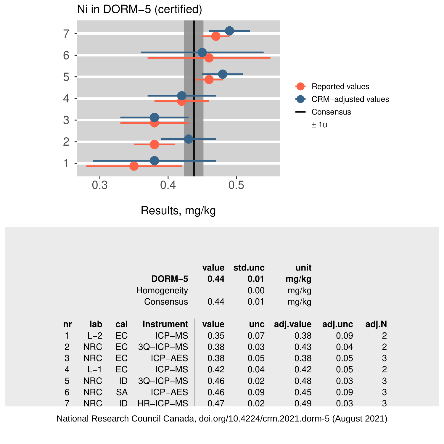

Results, mg/kg

|    |            |     | DORM-5<br>Homogeneity<br>Consensus | value<br>0.44<br>0.44 | std.unc<br>0.01<br>0.00<br>0.01 | unit<br>mg/kg<br>mg/kg<br>mg/kg |         |                |
|----|------------|-----|------------------------------------|-----------------------|---------------------------------|---------------------------------|---------|----------------|
| nr | lab        | cal | instrument                         | value                 | unc                             | adj.value                       | adj.unc | adj.N          |
| 1  | $L-2$      | EC  | <b>ICP-MS</b>                      | 0.35                  | 0.07                            | 0.38                            | 0.09    | 2              |
| 2  | <b>NRC</b> | EC  | 3Q-ICP-MS                          | 0.38                  | 0.03                            | 0.43                            | 0.04    | $\overline{2}$ |
| 3  | <b>NRC</b> | EC  | <b>ICP-AES</b>                     | 0.38                  | 0.05                            | 0.38                            | 0.05    | 3              |
| 4  | $L-1$      | EC  | <b>ICP-MS</b>                      | 0.42                  | 0.04                            | 0.42                            | 0.05    | 2              |
| 5  | <b>NRC</b> | ID  | 3Q-ICP-MS                          | 0.46                  | 0.02                            | 0.48                            | 0.03    | 3              |
| 6  | <b>NRC</b> | SA  | <b>ICP-AES</b>                     | 0.46                  | 0.09                            | 0.45                            | 0.09    | 3              |
|    | <b>NRC</b> | ID  | HR-ICP-MS                          | 0.47                  | 0.02                            | 0.49                            | 0.03    | 3              |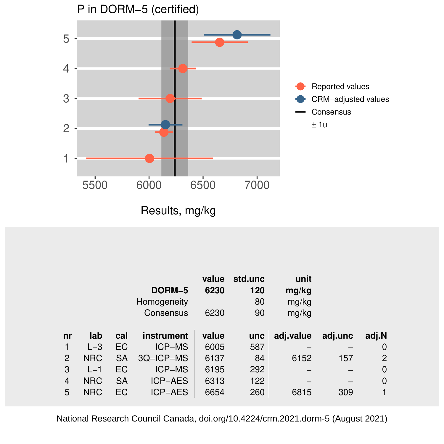

|    |            |           |                | value | std.unc | unit      |         |       |
|----|------------|-----------|----------------|-------|---------|-----------|---------|-------|
|    |            |           | DORM-5         | 6230  | 120     | mg/kg     |         |       |
|    |            |           | Homogeneity    |       | 80      | mg/kg     |         |       |
|    |            |           | Consensus      | 6230  | 90      | mg/kg     |         |       |
|    |            |           |                |       |         |           |         |       |
| nr | lab        | cal       | instrument     | value | unc     | adj.value | adj.unc | adj.N |
| 1  | $L-3$      | EC        | <b>ICP-MS</b>  | 6005  | 587     |           |         | 0     |
| 2  | <b>NRC</b> | <b>SA</b> | 3Q-ICP-MS      | 6137  | 84      | 6152      | 157     | 2     |
| 3  | $L-1$      | EC        | <b>ICP-MS</b>  | 6195  | 292     |           |         | 0     |
| 4  | <b>NRC</b> | SА        | <b>ICP-AES</b> | 6313  | 122     |           |         | 0     |
| 5  | <b>NRC</b> | EC        | <b>ICP-AES</b> | 6654  | 260     | 6815      | 309     | 1     |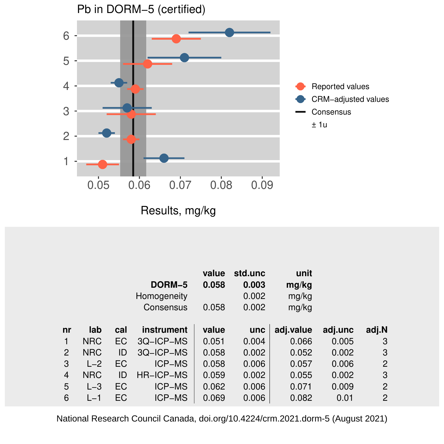

|    |            |     | DORM-5<br>Homogeneity<br>Consensus | value<br>0.058<br>0.058 | std.unc<br>0.003<br>0.002<br>0.002 | unit<br>mg/kg<br>mg/kg<br>mg/kg |         |       |
|----|------------|-----|------------------------------------|-------------------------|------------------------------------|---------------------------------|---------|-------|
| nr | lab        | cal | instrument                         | value                   | unc                                | adj.value                       | adj.unc | adj.N |
| 1  | <b>NRC</b> | EC  | 3Q-ICP-MS                          | 0.051                   | 0.004                              | 0.066                           | 0.005   | 3     |
| 2  | <b>NRC</b> | ID  | 3Q-ICP-MS                          | 0.058                   | 0.002                              | 0.052                           | 0.002   | 3     |
| 3  | $L-2$      | EC  | <b>ICP-MS</b>                      | 0.058                   | 0.006                              | 0.057                           | 0.006   | 2     |
| 4  | <b>NRC</b> | ID  | HR-ICP-MS                          | 0.059                   | 0.002                              | 0.055                           | 0.002   | 3     |
| 5  | $L - 3$    | EC  | ICP-MS                             | 0.062                   | 0.006                              | 0.071                           | 0.009   | 2     |
| 6  | $L-1$      | EC  | <b>ICP-MS</b>                      | 0.069                   | 0.006                              | 0.082                           | 0.01    | 2     |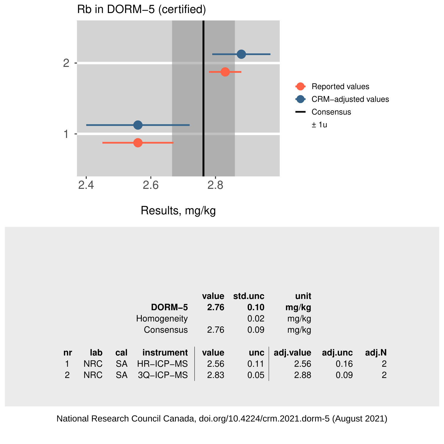

Results, mg/kg

|    |            |     |             | value | std.unc | unit      |         |                |
|----|------------|-----|-------------|-------|---------|-----------|---------|----------------|
|    |            |     | DORM-5      | 2.76  | 0.10    | mg/kg     |         |                |
|    |            |     | Homogeneity |       | 0.02    | mg/kg     |         |                |
|    |            |     | Consensus   | 2.76  | 0.09    | mg/kg     |         |                |
|    |            |     |             |       |         |           |         |                |
| nr | lab        | cal | instrument  | value | unc     | adj.value | adj.unc | adj.N          |
|    | NRC        | SA  | HR-ICP-MS   | 2.56  | 0.11    | 2.56      | 0.16    | $\mathbf{2}$   |
| 2  | <b>NRC</b> | SA  | 3Q-ICP-MS   | 2.83  | 0.05    | 2.88      | 0.09    | $\overline{2}$ |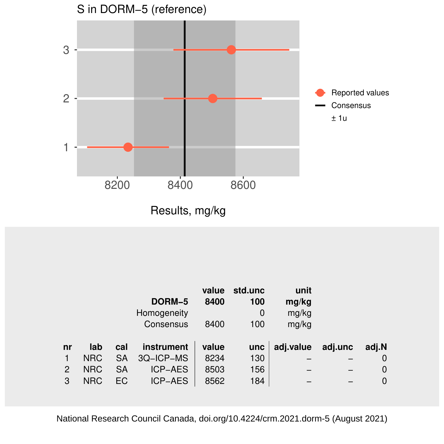

|                |            |     |                | value | std.unc | unit      |         |       |
|----------------|------------|-----|----------------|-------|---------|-----------|---------|-------|
|                |            |     | DORM-5         | 8400  | 100     | mg/kg     |         |       |
|                |            |     | Homogeneity    |       | 0       | mg/kg     |         |       |
|                |            |     | Consensus      | 8400  | 100     | mg/kg     |         |       |
|                |            |     |                |       |         |           |         |       |
| n <b>r</b>     | lab        | cal | instrument     | value | unc     | adj.value | adj.unc | adj.N |
|                | <b>NRC</b> | SA  | 3Q-ICP-MS      | 8234  | 130     |           |         | 0     |
| $\overline{c}$ | <b>NRC</b> | SA  | <b>ICP-AES</b> | 8503  | 156     |           |         | 0     |
| 3              | <b>NRC</b> | EC  | <b>ICP-AES</b> | 8562  | 184     |           |         | 0     |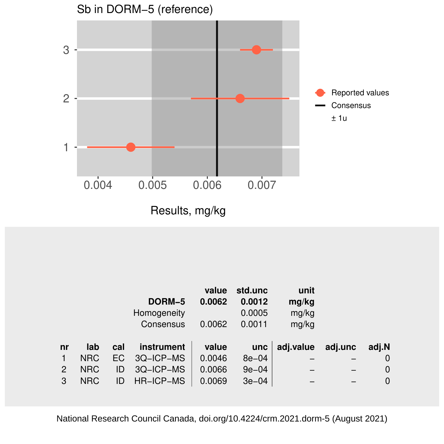

|    |            |     |             | value  | std.unc   | unit      |         |             |
|----|------------|-----|-------------|--------|-----------|-----------|---------|-------------|
|    |            |     | DORM-5      | 0.0062 | 0.0012    | mg/kg     |         |             |
|    |            |     | Homogeneity |        | 0.0005    | mg/kg     |         |             |
|    |            |     | Consensus   | 0.0062 | 0.0011    | mg/kg     |         |             |
|    |            |     |             |        |           |           |         |             |
| nr | lab        | cal | instrument  | value  | unc       | adj.value | adj.unc | adj.N       |
| 1  | <b>NRC</b> | EC. | 3Q-ICP-MS   | 0.0046 | $8e - 04$ |           |         | 0           |
| 2  | <b>NRC</b> | ID  | 3Q-ICP-MS   | 0.0066 | $9e-04$   |           |         | $\mathbf 0$ |
| 3  | <b>NRC</b> | ID  | HR-ICP-MS   | 0.0069 | $3e-04$   |           |         | $\mathbf 0$ |
|    |            |     |             |        |           |           |         |             |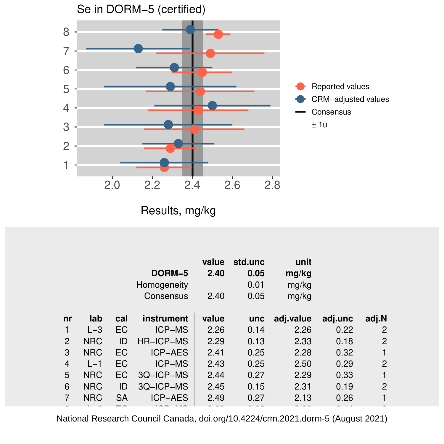

|                |            |           | DORM-5<br>Homogeneity<br>Consensus | value<br>2.40<br>2.40 | std.unc<br>0.05<br>0.01<br>0.05 | unit<br>mg/kg<br>mg/kg<br>mg/kg |         |                |
|----------------|------------|-----------|------------------------------------|-----------------------|---------------------------------|---------------------------------|---------|----------------|
| nr             | lab        | cal       | instrument                         | value                 | unc                             | adj.value                       | adj.unc | adj.N          |
|                | $L-3$      | EC        | <b>ICP-MS</b>                      | 2.26                  | 0.14                            | 2.26                            | 0.22    | 2              |
| $\overline{2}$ | <b>NRC</b> | ID        | <b>HR-ICP-MS</b>                   | 2.29                  | 0.13                            | 2.33                            | 0.18    | $\overline{c}$ |
| 3              | <b>NRC</b> | EC        | <b>ICP-AES</b>                     | 2.41                  | 0.25                            | 2.28                            | 0.32    |                |
| $\overline{4}$ | $L-1$      | EC        | <b>ICP-MS</b>                      | 2.43                  | 0.25                            | 2.50                            | 0.29    | $\overline{c}$ |
| 5              | <b>NRC</b> | EC        | 3Q-ICP-MS                          | 2.44                  | 0.27                            | 2.29                            | 0.33    | 1              |
| 6              | <b>NRC</b> | ID        | 3Q-ICP-MS                          | 2.45                  | 0.15                            | 2.31                            | 0.19    | 2              |
| 7              | <b>NRC</b> | <b>SA</b> | <b>ICP-AES</b>                     | 2.49                  | 0.27                            | 2.13                            | 0.26    |                |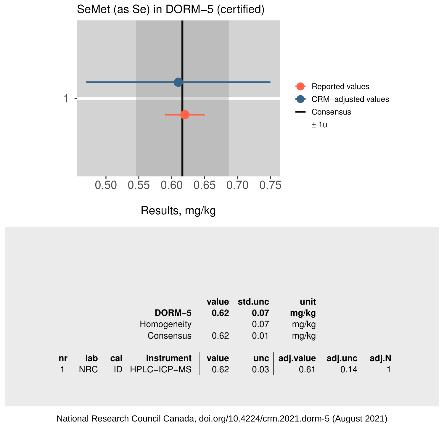

|    |            |     |             | value | std.unc | unit      |         |       |
|----|------------|-----|-------------|-------|---------|-----------|---------|-------|
|    |            |     | DORM-5      | 0.62  | 0.07    | mg/kg     |         |       |
|    |            |     | Homogeneity |       | 0.07    | mg/kg     |         |       |
|    |            |     | Consensus   | 0.62  | 0.01    | mg/kg     |         |       |
|    |            |     |             |       |         |           |         |       |
| nr | lab        | cal | instrument  | value | unc     | adj.value | adj.unc | adj.N |
|    | <b>NRC</b> | ID  | HPLC-ICP-MS | 0.62  | 0.03    | 0.61      | 0.14    |       |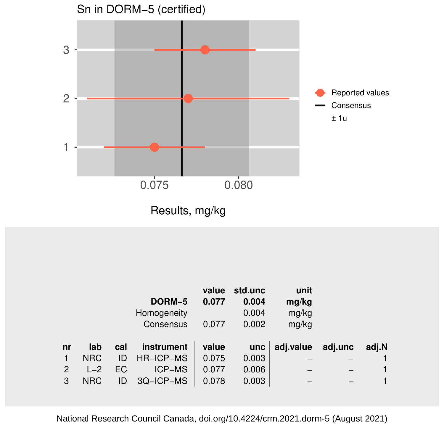

|    |            |     |                  | value | std.unc | unit      |         |       |
|----|------------|-----|------------------|-------|---------|-----------|---------|-------|
|    |            |     | DORM-5           | 0.077 | 0.004   | mg/kg     |         |       |
|    |            |     | Homogeneity      |       | 0.004   | mg/kg     |         |       |
|    |            |     | Consensus        | 0.077 | 0.002   | mg/kg     |         |       |
|    |            |     |                  |       |         |           |         |       |
| nr | lab        | cal | instrument       | value | unc     | adj.value | adj.unc | adj.N |
|    | <b>NRC</b> | ID  | <b>HR-ICP-MS</b> | 0.075 | 0.003   |           |         |       |
| 2  | $L-2$      | EC. | <b>ICP-MS</b>    | 0.077 | 0.006   |           |         |       |
| 3  | <b>NRC</b> | ID  | 3Q-ICP-MS        | 0.078 | 0.003   |           |         |       |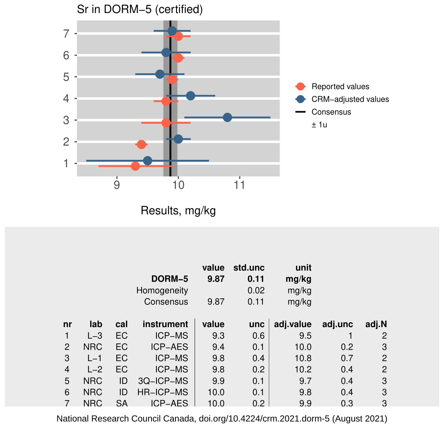

Results, mg/kg

|    |            |     | DORM-5<br>Homogeneity<br>Consensus | value<br>9.87<br>9.87 | std.unc<br>0.11<br>0.02<br>0.11 | unit<br>mg/kg<br>mg/kg<br>mg/kg |         |                |
|----|------------|-----|------------------------------------|-----------------------|---------------------------------|---------------------------------|---------|----------------|
| nr | lab        | cal | instrument                         | value                 | unc                             | adj.value                       | adj.unc | adj.N          |
| 1  | $L-3$      | EC  | <b>ICP-MS</b>                      | 9.3                   | 0.6                             | 9.5                             |         | 2              |
| 2  | <b>NRC</b> | EC  | <b>ICP-AES</b>                     | 9.4                   | 0.1                             | 10.0                            | 0.2     | 3              |
| 3  | $L-1$      | EC  | <b>ICP-MS</b>                      | 9.8                   | 0.4                             | 10.8                            | 0.7     | $\overline{2}$ |
| 4  | $L-2$      | EC  | <b>ICP-MS</b>                      | 9.8                   | 0.2                             | 10.2                            | 0.4     | 2              |
| 5  | <b>NRC</b> | ID  | 3Q-ICP-MS                          | 9.9                   | 0.1                             | 9.7                             | 0.4     | 3              |
| 6  | <b>NRC</b> | ID  | <b>HR-ICP-MS</b>                   | 10.0                  | 0.1                             | 9.8                             | 0.4     | 3              |
|    | <b>NRC</b> | SA  | ICP-AES                            | 10.0                  | 0.2                             | 9.9                             | 0.3     | 3              |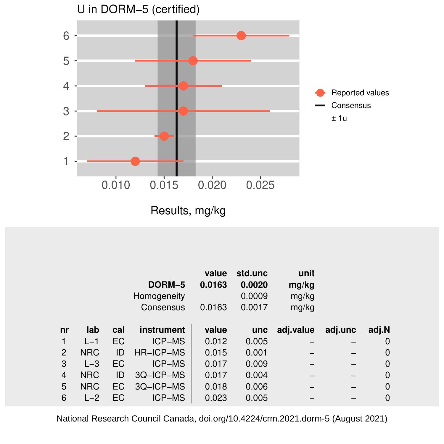

|                |            |     | DORM-5<br>Homogeneity<br>Consensus | value<br>0.0163<br>0.0163 | std.unc<br>0.0020<br>0.0009<br>0.0017 | unit<br>mg/kg<br>mg/kg<br>mg/kg |         |       |
|----------------|------------|-----|------------------------------------|---------------------------|---------------------------------------|---------------------------------|---------|-------|
| nr             | lab        | cal | instrument                         | value                     | unc                                   | adj.value                       | adj.unc | adj.N |
| 1              | $L-1$      | EC  | <b>ICP-MS</b>                      | 0.012                     | 0.005                                 |                                 |         | 0     |
| 2              | <b>NRC</b> | ID  | HR-ICP-MS                          | 0.015                     | 0.001                                 |                                 |         | 0     |
| 3              | $L - 3$    | EC  | ICP-MS                             | 0.017                     | 0.009                                 |                                 |         | 0     |
| $\overline{4}$ | <b>NRC</b> | ID  | 3Q-ICP-MS                          | 0.017                     | 0.004                                 |                                 |         | 0     |
| 5              | <b>NRC</b> | EC  | 3Q-ICP-MS                          | 0.018                     | 0.006                                 |                                 |         | 0     |
| 6              | $L-2$      | EC  | <b>ICP-MS</b>                      | 0.023                     | 0.005                                 |                                 |         | 0     |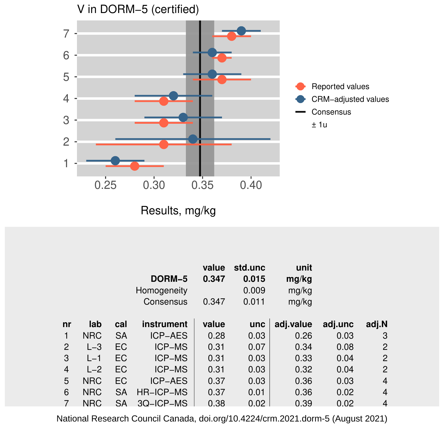

|    |            |           | DORM-5<br>Homogeneity<br>Consensus | value<br>0.347<br>0.347 | std.unc<br>0.015<br>0.009<br>0.011 | unit<br>mg/kg<br>mg/kg<br>mg/kg |         |                |
|----|------------|-----------|------------------------------------|-------------------------|------------------------------------|---------------------------------|---------|----------------|
| nr | lab        | cal       | instrument                         | value                   | unc                                | adj.value                       | adj.unc | adj.N          |
| 1  | <b>NRC</b> | <b>SA</b> | <b>ICP-AES</b>                     | 0.28                    | 0.03                               | 0.26                            | 0.03    | 3              |
| 2  | $L-3$      | EC        | <b>ICP-MS</b>                      | 0.31                    | 0.07                               | 0.34                            | 0.08    | $\overline{2}$ |
| 3  | $L-1$      | EC        | <b>ICP-MS</b>                      | 0.31                    | 0.03                               | 0.33                            | 0.04    | $\overline{2}$ |
| 4  | $L-2$      | EC        | ICP-MS                             | 0.31                    | 0.03                               | 0.32                            | 0.04    | 2              |
| 5  | <b>NRC</b> | EC        | <b>ICP-AES</b>                     | 0.37                    | 0.03                               | 0.36                            | 0.03    | $\overline{4}$ |
| 6  | <b>NRC</b> | <b>SA</b> | HR-ICP-MS                          | 0.37                    | 0.01                               | 0.36                            | 0.02    | 4              |
|    | <b>NRC</b> | <b>SA</b> | 3Q-ICP-MS                          | 0.38                    | 0.02                               | 0.39                            | 0.02    | $\overline{4}$ |